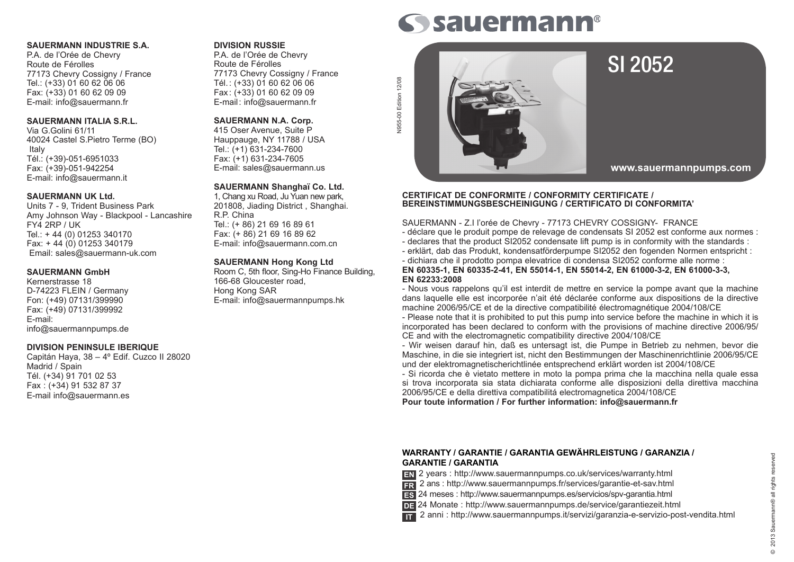### **SAUERMANN INDUSTRIE S.A.**

P.A. de l'Orée de Chevry Route de Férolles 77173 Chevry Cossigny / France Tel.: (+33) 01 60 62 06 06 Fax: (+33) 01 60 62 09 09 E-mail: info@sauermann.fr

### **SAUERMANN ITALIA S.R.L.**

Via G.Golini 61/11 40024 Castel S.Pietro Terme (BO) Italy Tél.: (+39)-051-6951033 Fax: (+39)-051-942254 E-mail: info@sauermann.it

### **SAUERMANN UK Ltd.**

Units 7 - 9, Trident Business Park Amy Johnson Way - Blackpool - Lancashire FY4 2RP / UK Tel.: + 44 (0) 01253 340170 Fax: + 44 (0) 01253 340179 Email: sales@sauermann-uk.com

### **SAUERMANN GmbH**

Kernerstrasse 18 D-74223 FLEIN / Germany Fon: (+49) 07131/399990 Fax: (+49) 07131/399992 E-mail: info@sauermannpumps.de

### **DIVISION PENINSULE IBERIQUE**

Capitán Haya, 38 – 4º Edif. Cuzco II 28020 Madrid / Spain Tél. (+34) 91 701 02 53 Fax : (+34) 91 532 87 37 E-mail info@sauermann.es

### **DIVISION RUSSIE**

P.A. de l'Orée de Chevry Route de Férolles 77173 Chevry Cossigny / France Tél.: (+33) 01 60 62 06 06 Fax: (+33) 01 60 62 09 09 E-mail: info@sauermann.fr

### **SAUERMANN N.A. Corp.**

415 Oser Avenue, Suite P Hauppauge, NY 11788 / USA Tel.: (+1) 631-234-7600 Fax: (+1) 631-234-7605 E-mail: sales@sauermann.us

### **SAUERMANN Shanghaï Co. Ltd.**

1, Chang xu Road, Ju Yuan new park, 201808, Jiading District , Shanghai. R.P. China Tel.: (+ 86) 21 69 16 89 61 Fax: (+ 86) 21 69 16 89 62 E-mail: info@sauermann.com.cn

### **SAUERMANN Hong Kong Ltd**

Room C, 5th floor, Sing-Ho Finance Building, 166-68 Gloucester road, Hong Kong SAR E-mail: info@sauermannpumps.hk

# **Sauermann®**



## SI 2052

**www.sauermannpumps.com**

### **CERTIFICAT DE CONFORMITE / CONFORMITY CERTIFICATE / BEREINSTIMMUNGSBESCHEINIGUNG / CERTIFICATO DI CONFORMITA'**

SAUERMANN - Z.I l'orée de Chevry - 77173 CHEVRY COSSIGNY- FRANCE

- déclare que le produit pompe de relevage de condensats SI 2052 est conforme aux normes :
- declares that the product SI2052 condensate lift pump is in conformity with the standards :
- erklärt, dab das Produkt, kondensatförderpumpe SI2052 den fogenden Normen entspricht :
- dichiara che il prodotto pompa elevatrice di condensa SI2052 conforme alle norme :

### **EN 60335-1, EN 60335-2-41, EN 55014-1, EN 55014-2, EN 61000-3-2, EN 61000-3-3, EN 62233:2008**

- Nous vous rappelons qu'il est interdit de mettre en service la pompe avant que la machine dans laquelle elle est incorporée n'ait été déclarée conforme aux dispositions de la directive machine 2006/95/CE et de la directive compatibilité électromagnétique 2004/108/CE

- Please note that it is prohibited to put this pump into service before the machine in which it is incorporated has been declared to conform with the provisions of machine directive 2006/95/ CE and with the electromagnetic compatibility directive 2004/108/CE

- Wir weisen darauf hin, daß es untersagt ist, die Pumpe in Betrieb zu nehmen, bevor die Maschine, in die sie integriert ist, nicht den Bestimmungen der Maschinenrichtlinie 2006/95/CE und der elektromagnetischerichtlinée entsprechend erklärt worden ist 2004/108/CE

- Si ricorda che è vietato mettere in moto la pompa prima che la macchina nella quale essa si trova incorporata sia stata dichiarata conforme alle disposizioni della direttiva macchina 2006/95/CE e della direttiva compatibilitá electromagnetica 2004/108/CE

**Pour toute information / For further information: info@sauermann.fr**

### **Warranty / Garantie / Garantia GEWÄHRLEISTUNG / GARANZIA / Garantie / Garantia**

- 2 years : http://www.sauermannpumps.co.uk/services/warranty.html **EN**
- 2 ans : http://www.sauermannpumps.fr/services/garantie-et-sav.html **FR**
- 24 meses : http://www.sauermannpumps.es/servicios/spv-garantia.html **ES**
- 24 Monate : http://www.sauermannpumps.de/service/garantiezeit.html **DE**
- 2 anni : http://www.sauermannpumps.it/servizi/garanzia-e-servizio-post-vendita.html **IT**